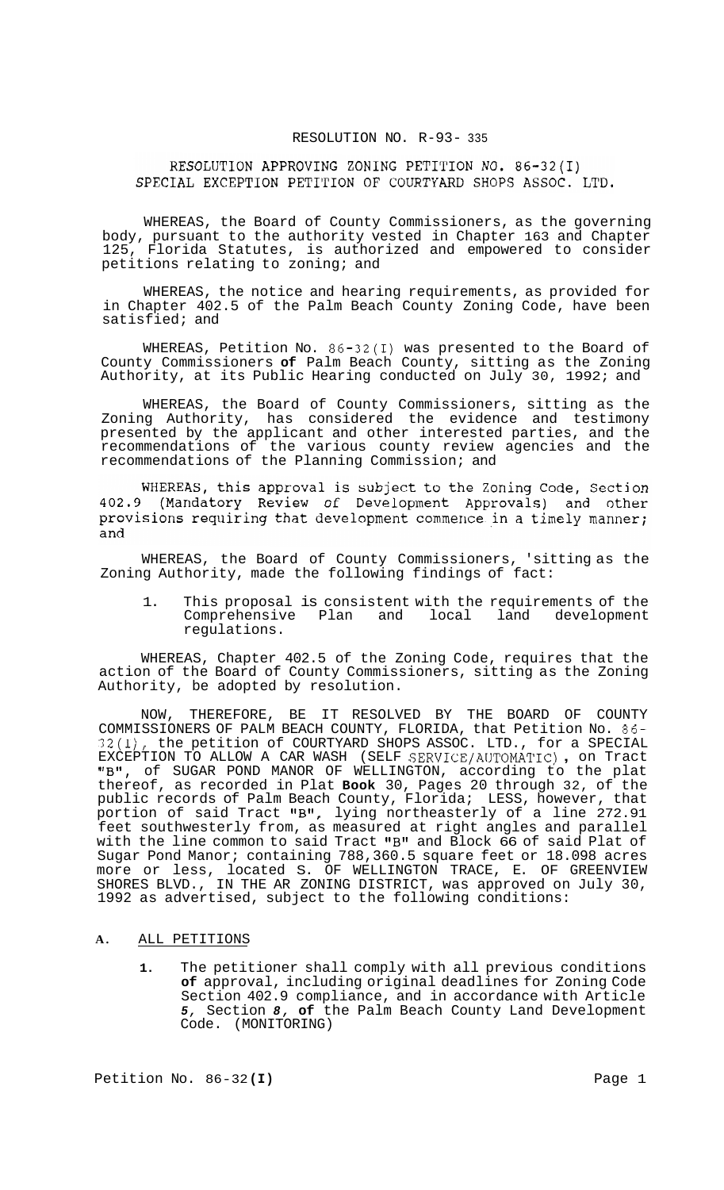#### RESOLUTION NO. R-93- 335

# RESOLUTION APPROVING ZONING PETITION NO. 86-32(I) SPECIAL EXCEPTION PETITION OF COURTYARD SHOPS ASSOC. LTD.

WHEREAS, the Board of County Commissioners, as the governing body, pursuant to the authority vested in Chapter 163 and Chapter 125, Florida Statutes, is authorized and empowered to consider petitions relating to zoning; and

WHEREAS, the notice and hearing requirements, as provided for in Chapter 402.5 of the Palm Beach County Zoning Code, have been satisfied; and

WHEREAS, Petition No. 86-32(I) was presented to the Board of County Commissioners **of** Palm Beach County, sitting as the Zoning Authority, at its Public Hearing conducted on July 30, 1992; and

WHEREAS, the Board of County Commissioners, sitting as the Zoning Authority, has considered the evidence and testimony presented by the applicant and other interested parties, and the recommendations of the various county review agencies and the recommendations of the Planning Commission; and

WHEREAS, this approval is subject to the Zoning Code, Section 402.9 (Mandatory Review of Development Approvals) and other provisions requiring that development commence in a timely manner; and

WHEREAS, the Board of County Commissioners, 'sitting as the Zoning Authority, made the following findings of fact:

1. This proposal is consistent with the requirements of the Comprehensive Plan and local land development regulations.

WHEREAS, Chapter 402.5 of the Zoning Code, requires that the action of the Board of County Commissioners, sitting as the Zoning Authority, be adopted by resolution.

NOW, THEREFORE, BE IT RESOLVED BY THE BOARD OF COUNTY COMMISSIONERS OF PALM BEACH COUNTY, FLORIDA, that Petition No. 86- 32(I), the petition of COURTYARD SHOPS ASSOC. LTD., for a SPECIAL 32(1), the petition of COURTYARD SHOPS ASSOC. LTD., for a SPECIAL<br>EXCEPTION TO ALLOW A CAR WASH (SELF SERVICE/AUTOMATIC) , on Tract "B1', of SUGAR POND MANOR OF WELLINGTON, according to the plat thereof, as recorded in Plat **Book** 30, Pages 20 through 32, of the public records of Palm Beach County, Florida; LESS, however, that portion of said Tract "B", lying northeasterly of a line 272.91 feet southwesterly from, as measured at right angles and parallel with the line common to said Tract "B" and Block 66 of said Plat of Sugar Pond Manor; containing 788,360.5 square feet or 18.098 acres more or less, located S. OF WELLINGTON TRACE, E. OF GREENVIEW SHORES BLVD., IN THE AR ZONING DISTRICT, was approved on July 30, 1992 as advertised, subject to the following conditions:

## **A.** ALL PETITIONS

**1.** The petitioner shall comply with all previous conditions **of** approval, including original deadlines for Zoning Code Section 402.9 compliance, and in accordance with Article *5,* Section *8,* **of** the Palm Beach County Land Development Code. (MONITORING)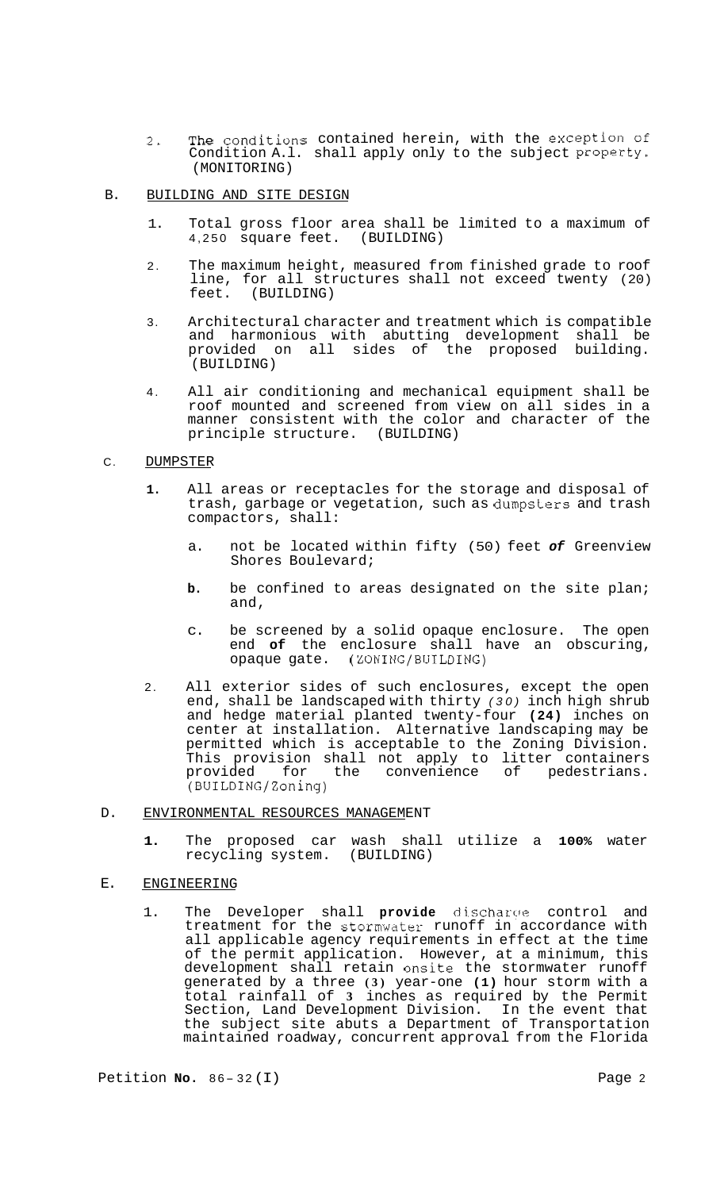- 2. The conditions contained herein, with the exception of Condition A.l. shall apply only to the subject Property. (MONITORING)
- B. BUILDING AND SITE DESIGN
	- 1. Total gross floor area shall be limited to a maximum of 4,250 square feet. (BUILDING)
	- 2. The maximum height, measured from finished grade to roof line, for all structures shall not exceed twenty (20)<br>feet. (BUILDING) (BUILDING)
	- 3. Architectural character and treatment which is compatible and harmonious with abutting development shall be provided on all sides of the proposed building. (BUILDING)
	- 4. All air conditioning and mechanical equipment shall be roof mounted and screened from view on all sides in a manner consistent with the color and character of the principle structure. (BUILDING)

#### C. DUMPSTER

- **1.** All areas or receptacles for the storage and disposal of trash, garbage or vegetation, such as dunpsters and trash compactors, shall:
	- a. not be located within fifty (50) feet *of* Greenview Shores Boulevard;
	- **b.** be confined to areas designated on the site plan; and,
	- c. be screened by a solid opaque enclosure. The open end **of** the enclosure shall have an obscuring, opaque gate. (ZONING/BUILDING)
- 2. All exterior sides of such enclosures, except the open end, shall be landscaped with thirty *(30)* inch high shrub and hedge material planted twenty-four **(24)** inches on center at installation. Alternative landscaping may be permitted which is acceptable to the Zoning Division. This provision shall not apply to litter containers provided for the convenience of pedestrians. (BUILDING/Zoning)

# D. ENVIRONMENTAL RESOURCES MANAGEMENT

**1.** The proposed car wash shall utilize a **100%** water recycling system. (BUILDING)

# E. ENGINEERING

1. The Developer shall **provide** discharge control and treatment for the stormwater runoff in accordance with all applicable agency requirements in effect at the time of the permit application. However, at a minimum, this development shall retain onsite the stormwater runoff generated by a three **(3)** year-one **(1)** hour storm with a total rainfall of **3** inches as required by the Permit Section, Land Development Division. In the event that the subject site abuts a Department of Transportation maintained roadway, concurrent approval from the Florida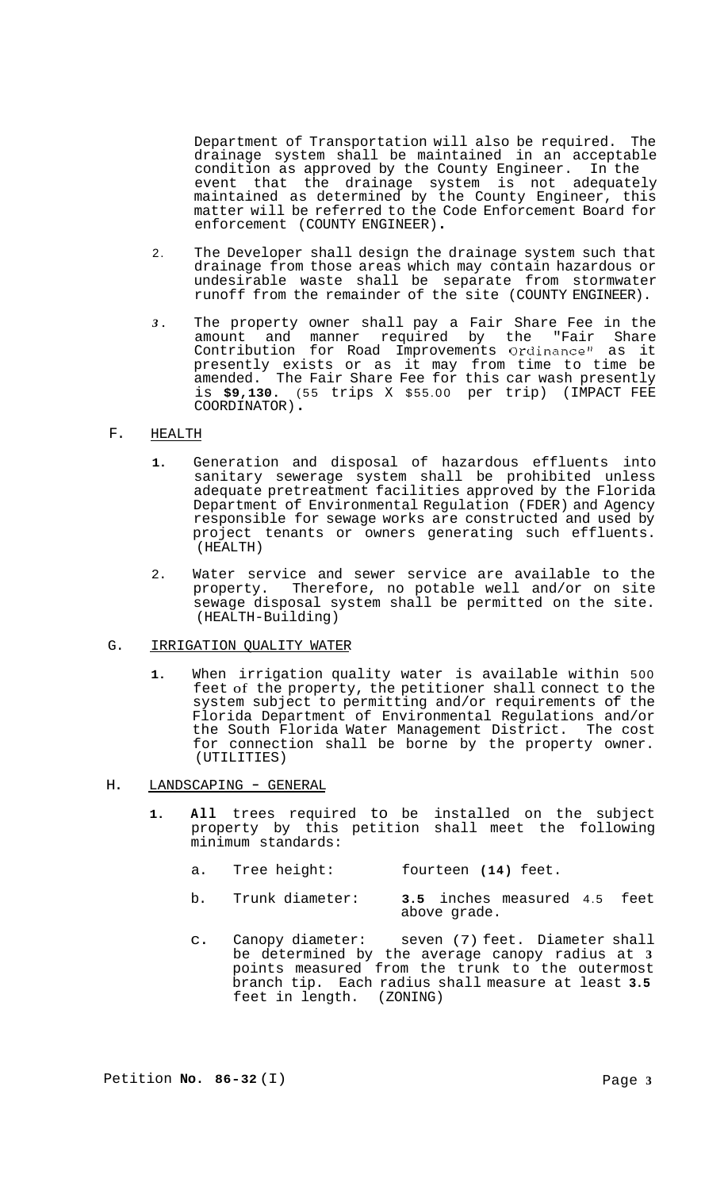Department of Transportation will also be required. The drainage system shall be maintained in an acceptable condition as approved by the County Engineer. In the event that the drainage system is not adequately maintained as determined by the County Engineer, this matter will be referred to the Code Enforcement Board for enforcement (COUNTY ENGINEER) .

- 2. The Developer shall design the drainage system such that drainage from those areas which may contain hazardous or undesirable waste shall be separate from stormwater runoff from the remainder of the site (COUNTY ENGINEER).
- *3.* The property owner shall pay a Fair Share Fee in the amount and manner required by the "Fair Share Contribution for Road Improvements Ordinance" as it presently exists or as it may from time to time be amended. The Fair Share Fee for this car wash presently is **\$9,130.** (55 trips X \$55.00 per trip) (IMPACT FEE COORDINATOR) .

## F. HEALTH

- **1.** Generation and disposal of hazardous effluents into sanitary sewerage system shall be prohibited unless adequate pretreatment facilities approved by the Florida Department of Environmental Regulation (FDER) and Agency responsible for sewage works are constructed and used by project tenants or owners generating such effluents. (HEALTH)
- 2. Water service and sewer service are available to the property. Therefore, no potable well and/or on site sewage disposal system shall be permitted on the site. (HEALTH-Building)

## G. IRRIGATION QUALITY WATER

**1.** When irrigation quality water is available within 500 feet of the property, the petitioner shall connect to the system subject to permitting and/or requirements of the Florida Department of Environmental Regulations and/or the South Florida Water Management District. The cost for connection shall be borne by the property owner. (UTILITIES)

## H. LANDSCAPING - GENERAL

- **1. All** trees required to be installed on the subject property by this petition shall meet the following minimum standards:
	- a. Tree height: fourteen **(14)** feet.
	- b. Trunk diameter: **3.5** inches measured 4.5 feet above grade.
	- c. Canopy diameter: seven (7) feet. Diameter shall be determined by the average canopy radius at **3**  points measured from the trunk to the outermost branch tip. Each radius shall measure at least **3.5**  feet in length. (ZONING)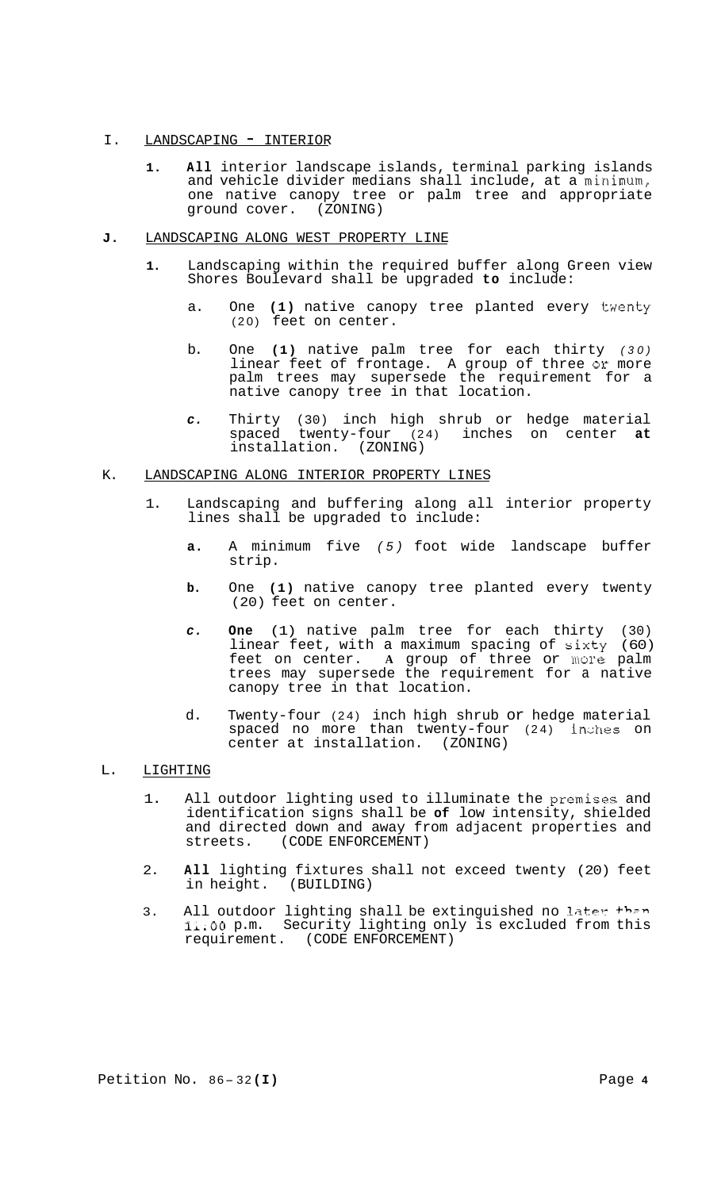## I. LANDSCAPING - INTERIOR

**1. All** interior landscape islands, terminal parking islands and vehicle divider medians shall include, at a minimum, one native canopy tree or palm tree and appropriate ground cover. (ZONING)

## **J.** LANDSCAPING ALONG WEST PROPERTY LINE

- **1.** Landscaping within the required buffer along Green view Shores Boulevard shall be upgraded **to** include:
	- a. One **(1)** native canopy tree planted every twenty (20) feet on center.
	- b. One **(1)** native palm tree for each thirty *(30)*  linear feet of frontage. A group of three or more palm trees may supersede the requirement for a native canopy tree in that location.
	- *c.* Thirty (30) inch high shrub or hedge material spaced twenty-four (24) inches on center **at**  installation. (ZONING)

#### K. LANDSCAPING ALONG INTERIOR PROPERTY LINES

- 1. Landscaping and buffering along all interior property lines shall be upgraded to include:
	- **a.** A minimum five *(5)* foot wide landscape buffer strip.
	- **b.** One **(1)** native canopy tree planted every twenty (20) feet on center.
	- *c.* **One** (1) native palm tree for each thirty (30) linear feet, with a maximum spacing of sixty  $(60)$ feet on center. **A** group of three or more palm trees may supersede the requirement for a native canopy tree in that location.
	- d. Twenty-four (24) inch high shrub or hedge material spaced no more than twenty-four (24) inches on center at installation. (ZONING)

# L. LIGHTING

- 1. All outdoor lighting used to illuminate the premises and identification signs shall be **of** low intensity, shielded and directed down and away from adjacent properties and streets. (CODE ENFORCEMENT) (CODE ENFORCEMENT)
- 2. **All** lighting fixtures shall not exceed twenty (20) feet in height.
- 3. All outdoor lighting shall be extinguished no later than **l1.0O** p.m. Security lighting only is excluded from this requirement. (CODE ENFORCEMENT)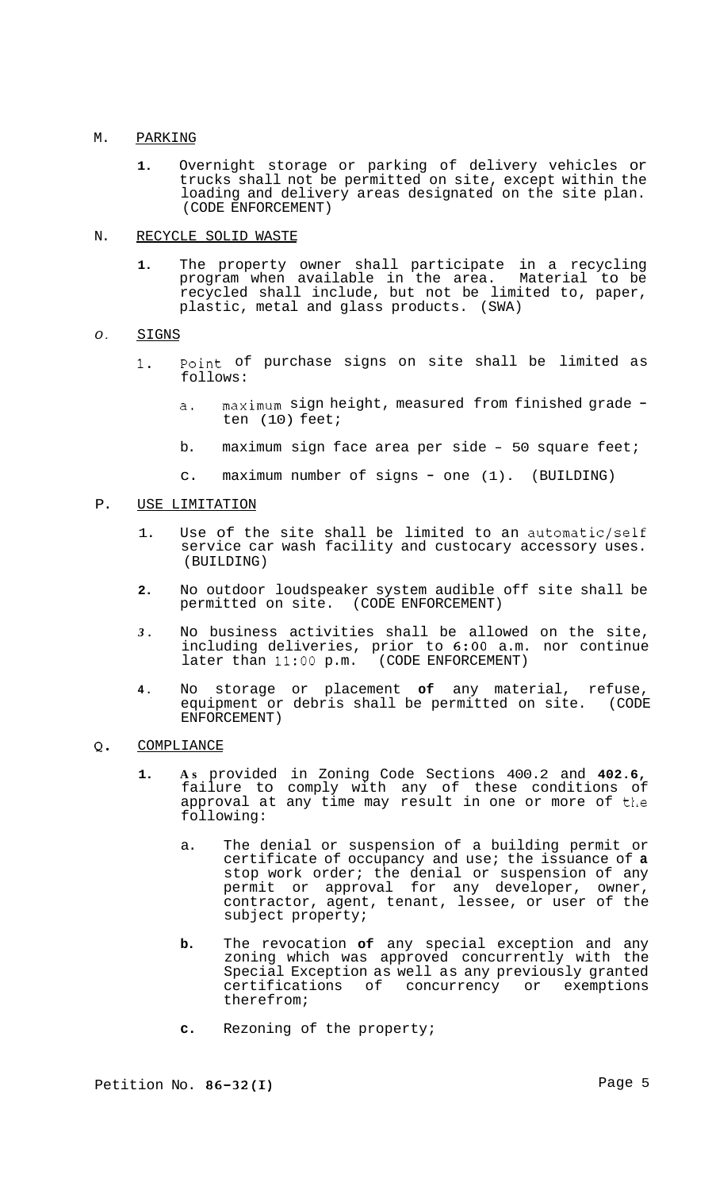#### M. PARKING

**1.** Overnight storage or parking of delivery vehicles or trucks shall not be permitted on site, except within the loading and delivery areas designated on the site plan. (CODE ENFORCEMENT)

#### N. RECYCLE SOLID WASTE

**1.** The property owner shall participate in a recycling program when available in the area. Material to be recycled shall include, but not be limited to, paper, plastic, metal and glass products. (SWA)

#### *0.*  SIGNS

- **1.** Point of purchase signs on site shall be limited as follows:
	- a. maximum sign height, measured from finished grade ten (10) feet;
	- b. maximum sign face area per side 50 square feet;
	- c. maximum number of signs one (1). (BUILDING)

#### P. USE LIMITATION

- 1. Use of the site shall be limited to an automatic/self service car wash facility and custocary accessory uses. (BUILDING)
- **2.** No outdoor loudspeaker system audible off site shall be permitted on site. (CODE ENFORCEMENT)
- *3.* No business activities shall be allowed on the site, including deliveries, prior to 6:00 a.m. nor continue<br>later than 11:00 p.m. (CODE ENFORCEMENT)  $later than 11:00 p.m.$
- **4.** No storage or placement **of** any material, refuse, equipment or debris shall be permitted on site. (CODE ENFORCEMENT)

#### **Q.**  COMPLIANCE

- **1. As** provided in Zoning Code Sections 400.2 and **402.6,**  failure to comply with any of these conditions of approval at any time may result in one or more of the following:
	- a. The denial or suspension of a building permit or certificate of occupancy and use; the issuance of **a**  stop work order; the denial or suspension of any permit or approval for any developer, owner, contractor, agent, tenant, lessee, or user of the subject property;
	- **b.** The revocation **of** any special exception and any zoning which was approved concurrently with the Special Exception as well as any previously granted certifications of concurrency or exemptions therefrom;
	- **c.** Rezoning of the property;